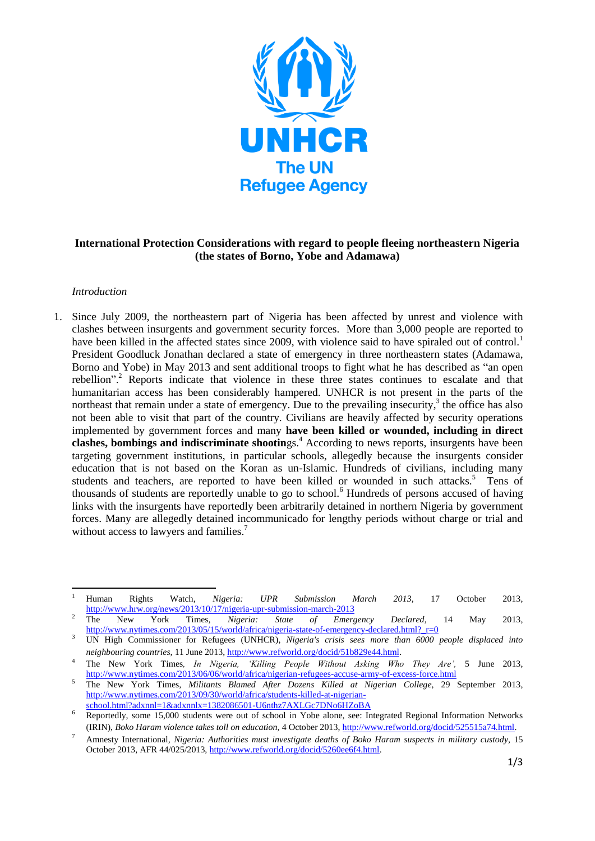

## **International Protection Considerations with regard to people fleeing northeastern Nigeria (the states of Borno, Yobe and Adamawa)**

## *Introduction*

1. Since July 2009, the northeastern part of Nigeria has been affected by unrest and violence with clashes between insurgents and government security forces. More than 3,000 people are reported to have been killed in the affected states since 2009, with violence said to have spiraled out of control.<sup>1</sup> President Goodluck Jonathan declared a state of emergency in three northeastern states (Adamawa, Borno and Yobe) in May 2013 and sent additional troops to fight what he has described as "an open rebellion".<sup>2</sup> Reports indicate that violence in these three states continues to escalate and that humanitarian access has been considerably hampered. UNHCR is not present in the parts of the northeast that remain under a state of emergency. Due to the prevailing insecurity,<sup>3</sup> the office has also not been able to visit that part of the country. Civilians are heavily affected by security operations implemented by government forces and many **have been killed or wounded, including in direct clashes, bombings and indiscriminate shootings.**<sup>4</sup> According to news reports, insurgents have been targeting government institutions, in particular schools, allegedly because the insurgents consider education that is not based on the Koran as un-Islamic. Hundreds of civilians, including many students and teachers, are reported to have been killed or wounded in such attacks.<sup>5</sup> Tens of thousands of students are reportedly unable to go to school.<sup>6</sup> Hundreds of persons accused of having links with the insurgents have reportedly been arbitrarily detained in northern Nigeria by government forces. Many are allegedly detained incommunicado for lengthy periods without charge or trial and without access to lawyers and families.<sup>7</sup>

 $\overline{1}$ <sup>1</sup> Human Rights Watch, *Nigeria: UPR Submission March 2013,* 17 October 2013, <http://www.hrw.org/news/2013/10/17/nigeria-upr-submission-march-2013>

<sup>2</sup> The New York Times, *Nigeria: State of Emergency Declared,* 14 May 2013, http://www.nytimes.com/2013/05/15/world/africa/nigeria-state-of-emergency-declared.html?\_r=0

<sup>3</sup> UN High Commissioner for Refugees (UNHCR), *Nigeria's crisis sees more than 6000 people displaced into neighbouring countries,* 11 June 2013[, http://www.refworld.org/docid/51b829e44.html.](http://www.refworld.org/docid/51b829e44.html)

<sup>4</sup> The New York Times*, In Nigeria, 'Killing People Without Asking Who They Are',* 5 June 2013, <http://www.nytimes.com/2013/06/06/world/africa/nigerian-refugees-accuse-army-of-excess-force.html>

<sup>5</sup> The New York Times, *Militants Blamed After Dozens Killed at Nigerian College,* 29 September 2013, [http://www.nytimes.com/2013/09/30/world/africa/students-killed-at-nigerian](http://www.nytimes.com/2013/09/30/world/africa/students-killed-at-nigerian-school.html?adxnnl=1&adxnnlx=1382086501-U6nthz7AXLGc7DNo6HZoBA)[school.html?adxnnl=1&adxnnlx=1382086501-U6nthz7AXLGc7DNo6HZoBA](http://www.nytimes.com/2013/09/30/world/africa/students-killed-at-nigerian-school.html?adxnnl=1&adxnnlx=1382086501-U6nthz7AXLGc7DNo6HZoBA)

<sup>&</sup>lt;sup>6</sup> Reportedly, some 15,000 students were out of school in Yobe alone, see: Integrated Regional Information Networks (IRIN), *Boko Haram violence takes toll on education,* 4 October 2013[, http://www.refworld.org/docid/525515a74.html.](http://www.refworld.org/docid/525515a74.html)

<sup>7</sup> Amnesty International*, Nigeria: Authorities must investigate deaths of Boko Haram suspects in military custody,* 15 October 2013, AFR 44/025/2013[, http://www.refworld.org/docid/5260ee6f4.html.](http://www.refworld.org/docid/5260ee6f4.html)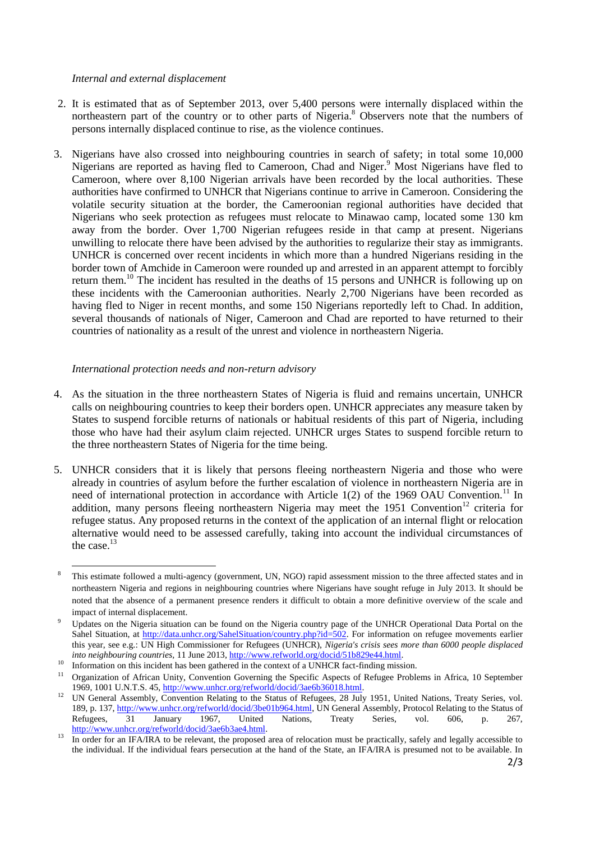## *Internal and external displacement*

- 2. It is estimated that as of September 2013, over 5,400 persons were internally displaced within the northeastern part of the country or to other parts of Nigeria.<sup>8</sup> Observers note that the numbers of persons internally displaced continue to rise, as the violence continues.
- 3. Nigerians have also crossed into neighbouring countries in search of safety; in total some 10,000 Nigerians are reported as having fled to Cameroon, Chad and Niger.<sup>9</sup> Most Nigerians have fled to Cameroon, where over 8,100 Nigerian arrivals have been recorded by the local authorities. These authorities have confirmed to UNHCR that Nigerians continue to arrive in Cameroon. Considering the volatile security situation at the border, the Cameroonian regional authorities have decided that Nigerians who seek protection as refugees must relocate to Minawao camp, located some 130 km away from the border. Over 1,700 Nigerian refugees reside in that camp at present. Nigerians unwilling to relocate there have been advised by the authorities to regularize their stay as immigrants. UNHCR is concerned over recent incidents in which more than a hundred Nigerians residing in the border town of Amchide in Cameroon were rounded up and arrested in an apparent attempt to forcibly return them.<sup>10</sup> The incident has resulted in the deaths of 15 persons and UNHCR is following up on these incidents with the Cameroonian authorities. Nearly 2,700 Nigerians have been recorded as having fled to Niger in recent months, and some 150 Nigerians reportedly left to Chad. In addition, several thousands of nationals of Niger, Cameroon and Chad are reported to have returned to their countries of nationality as a result of the unrest and violence in northeastern Nigeria.

## *International protection needs and non-return advisory*

1

- 4. As the situation in the three northeastern States of Nigeria is fluid and remains uncertain, UNHCR calls on neighbouring countries to keep their borders open. UNHCR appreciates any measure taken by States to suspend forcible returns of nationals or habitual residents of this part of Nigeria, including those who have had their asylum claim rejected. UNHCR urges States to suspend forcible return to the three northeastern States of Nigeria for the time being.
- 5. UNHCR considers that it is likely that persons fleeing northeastern Nigeria and those who were already in countries of asylum before the further escalation of violence in northeastern Nigeria are in need of international protection in accordance with Article  $1(2)$  of the 1969 OAU Convention.<sup>11</sup> In addition, many persons fleeing northeastern Nigeria may meet the 1951 Convention<sup>12</sup> criteria for refugee status. Any proposed returns in the context of the application of an internal flight or relocation alternative would need to be assessed carefully, taking into account the individual circumstances of the case. $13$

<sup>&</sup>lt;sup>8</sup> This estimate followed a multi-agency (government, UN, NGO) rapid assessment mission to the three affected states and in northeastern Nigeria and regions in neighbouring countries where Nigerians have sought refuge in July 2013. It should be noted that the absence of a permanent presence renders it difficult to obtain a more definitive overview of the scale and impact of internal displacement.

Updates on the Nigeria situation can be found on the Nigeria country page of the UNHCR Operational Data Portal on the Sahel Situation, at [http://data.unhcr.org/SahelSituation/country.php?id=502.](http://data.unhcr.org/SahelSituation/country.php?id=502) For information on refugee movements earlier this year, see e.g.: UN High Commissioner for Refugees (UNHCR), *Nigeria's crisis sees more than 6000 people displaced into neighbouring countries,* 11 June 2013[, http://www.refworld.org/docid/51b829e44.html.](http://www.refworld.org/docid/51b829e44.html)

<sup>10</sup> Information on this incident has been gathered in the context of a UNHCR fact-finding mission.<br>
11 Context of a UNHCR fact-finding mission.

<sup>11</sup> Organization of African Unity, Convention Governing the Specific Aspects of Refugee Problems in Africa, 10 September 1969, 1001 U.N.T.S. 45, [http://www.unhcr.org/refworld/docid/3ae6b36018.html.](http://www.unhcr.org/refworld/docid/3ae6b36018.html)

<sup>&</sup>lt;sup>12</sup> UN General Assembly, Convention Relating to the Status of Refugees, 28 July 1951, United Nations, Treaty Series, vol. 189, p. 137, [http://www.unhcr.org/refworld/docid/3be01b964.html,](http://www.unhcr.org/refworld/docid/3be01b964.html) UN General Assembly, Protocol Relating to the Status of Refugees. 31 January 1967, United Nations, Treaty Series, vol. 606, p. 267, Refugees, 31 January 1967, United Nations, Treaty Series, vol. 606, p. 267, [http://www.unhcr.org/refworld/docid/3ae6b3ae4.html.](http://www.unhcr.org/refworld/docid/3ae6b3ae4.html)

<sup>&</sup>lt;sup>13</sup> In order for an IFA/IRA to be relevant, the proposed area of relocation must be practically, safely and legally accessible to the individual. If the individual fears persecution at the hand of the State, an IFA/IRA is presumed not to be available. In